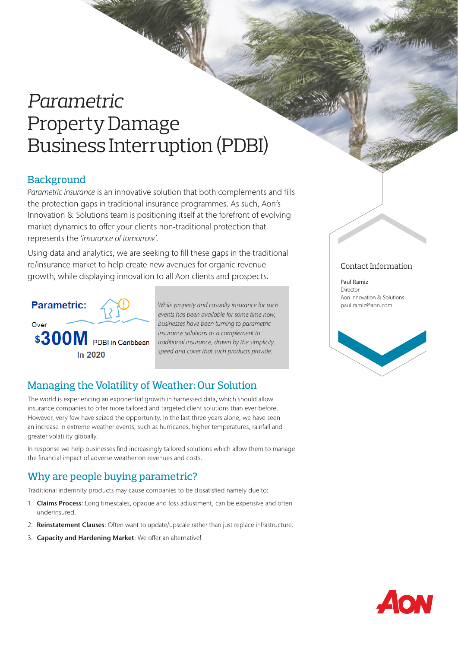# *Parametric*  Property Damage Business Interruption (PDBI)

## **Background**

*Parametric insurance* is an innovative solution that both complements and fills the protection gaps in traditional insurance programmes. As such, Aon's Innovation & Solutions team is positioning itself at the forefront of evolving market dynamics to offer your clients non-traditional protection that represents the *'insurance of tomorrow'.* 

Using data and analytics, we are seeking to fill these gaps in the traditional re/insurance market to help create new avenues for organic revenue growth, while displaying innovation to all Aon clients and prospects.



*While property and casualty insurance for such events has been available for some time now, businesses have been turning to parametric insurance solutions as a complement to traditional insurance, drawn by the simplicity, speed and cover that such products provide.*

# Managing the Volatility of Weather: Our Solution

The world is experiencing an exponential growth in harnessed data, which should allow insurance companies to offer more tailored and targeted client solutions than ever before. However, very few have seized the opportunity. In the last three years alone, we have seen an increase in extreme weather events, such as hurricanes, higher temperatures, rainfall and greater volatility globally.

In response we help businesses find increasingly tailored solutions which allow them to manage the financial impact of adverse weather on revenues and costs.

# Why are people buying parametric?

Traditional indemnity products may cause companies to be dissatisfied namely due to:

- 1. Claims Process: Long timescales, opaque and loss adjustment, can be expensive and often underinsured.
- 2. Reinstatement Clauses: Often want to update/upscale rather than just replace infrastructure.
- 3. Capacity and Hardening Market: We offer an alternative!

#### Contact Information

Paul Ramiz Director Aon Innovation & Solutions paul.ramiz@aon.com